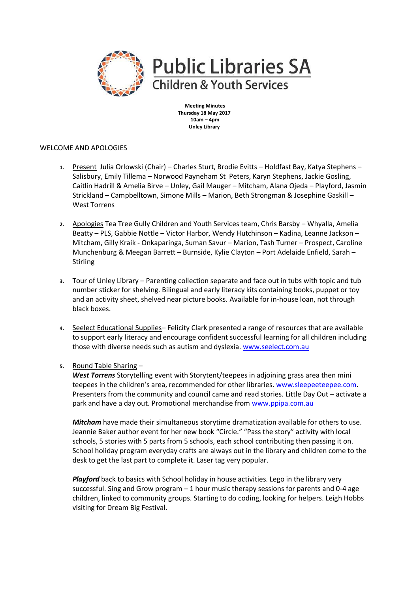

**Meeting Minutes Thursday 18 May 2017 10am – 4pm Unley Library**

## WELCOME AND APOLOGIES

- **1.** Present Julia Orlowski (Chair) Charles Sturt, Brodie Evitts Holdfast Bay, Katya Stephens Salisbury, Emily Tillema – Norwood Payneham St Peters, Karyn Stephens, Jackie Gosling, Caitlin Hadrill & Amelia Birve – Unley, Gail Mauger – Mitcham, Alana Ojeda – Playford, Jasmin Strickland – Campbelltown, Simone Mills – Marion, Beth Strongman & Josephine Gaskill – West Torrens
- **2.** Apologies Tea Tree Gully Children and Youth Services team, Chris Barsby Whyalla, Amelia Beatty – PLS, Gabbie Nottle – Victor Harbor, Wendy Hutchinson – Kadina, Leanne Jackson – Mitcham, Gilly Kraik - Onkaparinga, Suman Savur – Marion, Tash Turner – Prospect, Caroline Munchenburg & Meegan Barrett – Burnside, Kylie Clayton – Port Adelaide Enfield, Sarah – **Stirling**
- **3.** Tour of Unley Library Parenting collection separate and face out in tubs with topic and tub number sticker for shelving. Bilingual and early literacy kits containing books, puppet or toy and an activity sheet, shelved near picture books. Available for in-house loan, not through black boxes.
- **4.** Seelect Educational Supplies– Felicity Clark presented a range of resources that are available to support early literacy and encourage confident successful learning for all children including those with diverse needs such as autism and dyslexia. [www.seelect.com.au](http://www.seelect.com.au/)
- **5.** Round Table Sharing –

*West Torrens* Storytelling event with Storytent/teepees in adjoining grass area then mini teepees in the children's area, recommended for other libraries. [www.sleepeeteepee.com.](http://www.sleepeeteepee.com/) Presenters from the community and council came and read stories. Little Day Out – activate a park and have a day out. Promotional merchandise from [www.ppipa.com.au](http://www.ppipa.com.au/) 

*Mitcham* have made their simultaneous storytime dramatization available for others to use. Jeannie Baker author event for her new book "Circle." "Pass the story" activity with local schools, 5 stories with 5 parts from 5 schools, each school contributing then passing it on. School holiday program everyday crafts are always out in the library and children come to the desk to get the last part to complete it. Laser tag very popular.

*Playford* back to basics with School holiday in house activities. Lego in the library very successful. Sing and Grow program – 1 hour music therapy sessions for parents and 0-4 age children, linked to community groups. Starting to do coding, looking for helpers. Leigh Hobbs visiting for Dream Big Festival.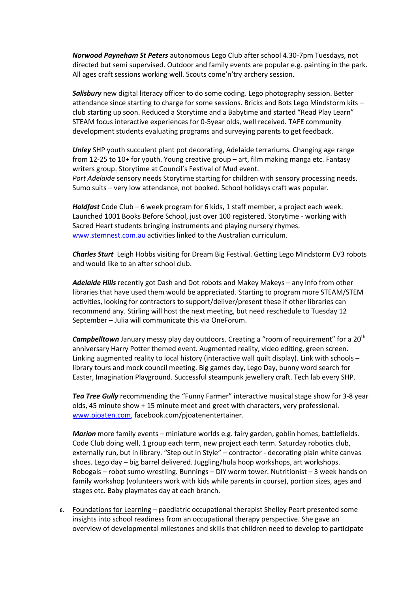*Norwood Payneham St Peters* autonomous Lego Club after school 4.30-7pm Tuesdays, not directed but semi supervised. Outdoor and family events are popular e.g. painting in the park. All ages craft sessions working well. Scouts come'n'try archery session.

*Salisbury* new digital literacy officer to do some coding. Lego photography session. Better attendance since starting to charge for some sessions. Bricks and Bots Lego Mindstorm kits – club starting up soon. Reduced a Storytime and a Babytime and started "Read Play Learn" STEAM focus interactive experiences for 0-5year olds, well received. TAFE community development students evaluating programs and surveying parents to get feedback.

*Unley* SHP youth succulent plant pot decorating, Adelaide terrariums. Changing age range from 12-25 to 10+ for youth. Young creative group – art, film making manga etc. Fantasy writers group. Storytime at Council's Festival of Mud event. *Port Adelaide* sensory needs Storytime starting for children with sensory processing needs. Sumo suits – very low attendance, not booked. School holidays craft was popular.

*Holdfast* Code Club – 6 week program for 6 kids, 1 staff member, a project each week. Launched 1001 Books Before School, just over 100 registered. Storytime - working with Sacred Heart students bringing instruments and playing nursery rhymes. [www.stemnest.com.au](http://www.stemnest.com.au/) activities linked to the Australian curriculum.

*Charles Sturt* Leigh Hobbs visiting for Dream Big Festival. Getting Lego Mindstorm EV3 robots and would like to an after school club.

*Adelaide Hills* recently got Dash and Dot robots and Makey Makeys – any info from other libraries that have used them would be appreciated. Starting to program more STEAM/STEM activities, looking for contractors to support/deliver/present these if other libraries can recommend any. Stirling will host the next meeting, but need reschedule to Tuesday 12 September – Julia will communicate this via OneForum.

**Campbelltown** January messy play day outdoors. Creating a "room of requirement" for a 20<sup>th</sup> anniversary Harry Potter themed event. Augmented reality, video editing, green screen. Linking augmented reality to local history (interactive wall quilt display). Link with schools – library tours and mock council meeting. Big games day, Lego Day, bunny word search for Easter, Imagination Playground. Successful steampunk jewellery craft. Tech lab every SHP.

*Tea Tree Gully* recommending the "Funny Farmer" interactive musical stage show for 3-8 year olds, 45 minute show + 15 minute meet and greet with characters, very professional. [www.pjoaten.com,](http://www.pjoaten.com/) facebook.com/pjoatenentertainer.

*Marion* more family events – miniature worlds e.g. fairy garden, goblin homes, battlefields. Code Club doing well, 1 group each term, new project each term. Saturday robotics club, externally run, but in library. "Step out in Style" – contractor - decorating plain white canvas shoes. Lego day – big barrel delivered. Juggling/hula hoop workshops, art workshops. Robogals – robot sumo wrestling. Bunnings – DIY worm tower. Nutritionist – 3 week hands on family workshop (volunteers work with kids while parents in course), portion sizes, ages and stages etc. Baby playmates day at each branch.

**6.** Foundations for Learning – paediatric occupational therapist Shelley Peart presented some insights into school readiness from an occupational therapy perspective. She gave an overview of developmental milestones and skills that children need to develop to participate